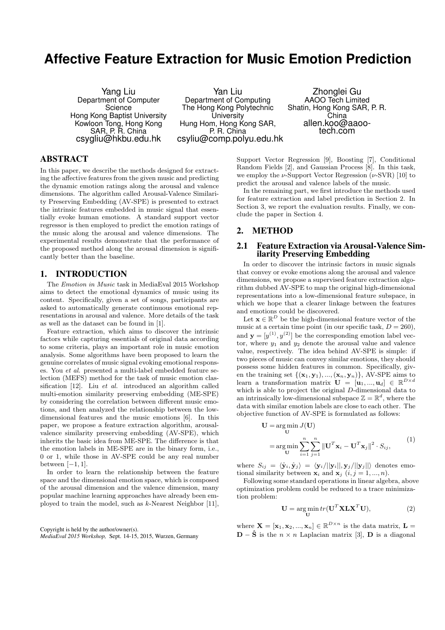# **Affective Feature Extraction for Music Emotion Prediction**

Yang Liu Department of Computer **Science** Hong Kong Baptist University Kowloon Tong, Hong Kong SAR, P. R. China csygliu@hkbu.edu.hk

Yan Liu Department of Computing The Hong Kong Polytechnic **University** Hung Hom, Hong Kong SAR, P. R. China csyliu@comp.polyu.edu.hk

Zhonglei Gu AAOO Tech Limited Shatin, Hong Kong SAR, P. R. China allen.koo@aaootech.com

# ABSTRACT

In this paper, we describe the methods designed for extracting the affective features from the given music and predicting the dynamic emotion ratings along the arousal and valence dimensions. The algorithm called Arousal-Valence Similarity Preserving Embedding (AV-SPE) is presented to extract the intrinsic features embedded in music signal that essentially evoke human emotions. A standard support vector regressor is then employed to predict the emotion ratings of the music along the arousal and valence dimensions. The experimental results demonstrate that the performance of the proposed method along the arousal dimension is significantly better than the baseline.

## 1. INTRODUCTION

The Emotion in Music task in MediaEval 2015 Workshop aims to detect the emotional dynamics of music using its content. Specifically, given a set of songs, participants are asked to automatically generate continuous emotional representations in arousal and valence. More details of the task as well as the dataset can be found in [1].

Feature extraction, which aims to discover the intrinsic factors while capturing essentials of original data according to some criteria, plays an important role in music emotion analysis. Some algorithms have been proposed to learn the genuine correlates of music signal evoking emotional responses. You et al. presented a multi-label embedded feature selection (MEFS) method for the task of music emotion classification [12]. Liu et al. introduced an algorithm called multi-emotion similarity preserving embedding (ME-SPE) by considering the correlation between different music emotions, and then analyzed the relationship between the lowdimensional features and the music emotions [6]. In this paper, we propose a feature extraction algorithm, arousalvalence similarity preserving embedding (AV-SPE), which inherits the basic idea from ME-SPE. The difference is that the emotion labels in ME-SPE are in the binary form, i.e., 0 or 1, while those in AV-SPE could be any real number between  $[-1, 1]$ .

In order to learn the relationship between the feature space and the dimensional emotion space, which is composed of the arousal dimension and the valence dimension, many popular machine learning approaches have already been employed to train the model, such as k-Nearest Neighbor [11],

Copyright is held by the author/owner(s). *MediaEval 2015 Workshop,* Sept. 14-15, 2015, Wurzen, Germany

Support Vector Regression [9], Boosting [7], Conditional Random Fields [2], and Gaussian Process [8]. In this task, we employ the  $\nu$ -Support Vector Regression ( $\nu$ -SVR) [10] to predict the arousal and valence labels of the music.

In the remaining part, we first introduce the methods used for feature extraction and label prediction in Section 2. In Section 3, we report the evaluation results. Finally, we conclude the paper in Section 4.

#### 2. METHOD

#### 2.1 Feature Extraction via Arousal-Valence Similarity Preserving Embedding

In order to discover the intrinsic factors in music signals that convey or evoke emotions along the arousal and valence dimensions, we propose a supervised feature extraction algorithm dubbed AV-SPE to map the original high-dimensional representations into a low-dimensional feature subspace, in which we hope that a clearer linkage between the features and emotions could be discovered.

Let  $\mathbf{x} \in \mathbb{R}^D$  be the high-dimensional feature vector of the music at a certain time point (in our specific task,  $D = 260$ ), and  $\mathbf{y} = [y^{(1)}, y^{(2)}]$  be the corresponding emotion label vector, where  $y_1$  and  $y_2$  denote the arousal value and valence value, respectively. The idea behind AV-SPE is simple: if two pieces of music can convey similar emotions, they should possess some hidden features in common. Specifically, given the training set  $\{(\mathbf{x}_1, \mathbf{y}_1), ..., (\mathbf{x}_n, \mathbf{y}_n)\}\$ , AV-SPE aims to learn a transformation matrix  $\mathbf{U} = [\mathbf{u}_1, ..., \mathbf{u}_d] \in \mathbb{R}^{D \times d}$ which is able to project the original D-dimensional data to an intrinsically low-dimensional subspace  $\mathbb{Z} = \mathbb{R}^d$ , where the data with similar emotion labels are close to each other. The objective function of AV-SPE is formulated as follows:

$$
\mathbf{U} = \underset{\mathbf{U}}{\arg \min} \sum_{i=1}^{n} \sum_{j=1}^{n} ||\mathbf{U}^{T} \mathbf{x}_{i} - \mathbf{U}^{T} \mathbf{x}_{j}||^{2} \cdot S_{ij},
$$
\n(1)

where  $S_{ij} = \langle \hat{\mathbf{y}}_i, \hat{\mathbf{y}}_j \rangle = \langle \mathbf{y}_i/||\mathbf{y}_i||, \mathbf{y}_j/||\mathbf{y}_j||$  denotes emotional similarity between  $\mathbf{x}_i$  and  $\mathbf{x}_j$   $(i, j = 1, ..., n)$ .

Following some standard operations in linear algebra, above optimization problem could be reduced to a trace minimization problem:

$$
\mathbf{U} = \underset{\mathbf{U}}{\arg\min} tr(\mathbf{U}^T \mathbf{X} \mathbf{L} \mathbf{X}^T \mathbf{U}),\tag{2}
$$

where  $\mathbf{X} = [\mathbf{x}_1, \mathbf{x}_2, ..., \mathbf{x}_n] \in \mathbb{R}^{D \times n}$  is the data matrix,  $\mathbf{L} =$  $\mathbf{D} - \hat{\mathbf{S}}$  is the  $n \times n$  Laplacian matrix [3],  $\mathbf{D}$  is a diagonal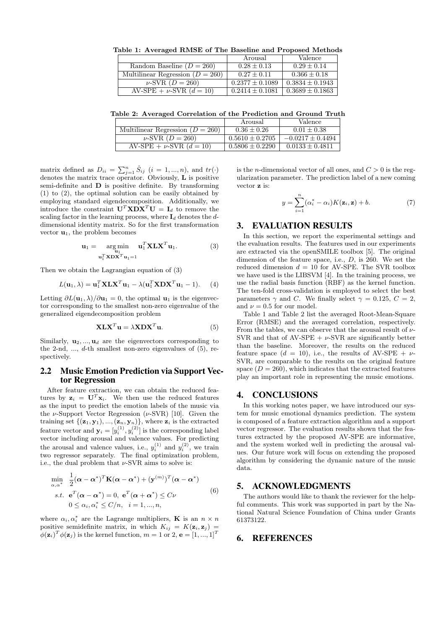| capie 1. Il refugea furible of the Baseline and I reposed meeting |                     |                     |
|-------------------------------------------------------------------|---------------------|---------------------|
|                                                                   | Arousal             | Valence             |
| Random Baseline $(D = 260)$                                       | $0.28 \pm 0.13$     | $0.29 \pm 0.14$     |
| Multilinear Regression $(D = 260)$                                | $0.27 \pm 0.11$     | $0.366 \pm 0.18$    |
| $\nu$ -SVR ( $D = 260$ )                                          | $0.2377 \pm 0.1089$ | $0.3834 \pm 0.1943$ |
| AV-SPE + $\nu$ -SVR $(d = 10)$                                    | $0.2414 \pm 0.1081$ | $0.3689 \pm 0.1863$ |

Table 1: Averaged RMSE of The Baseline and Proposed Methods

Table 2: Averaged Correlation of the Prediction and Ground Truth

|                                    | Arousal             | Valence              |
|------------------------------------|---------------------|----------------------|
| Multilinear Regression $(D = 260)$ | $0.36 \pm 0.26$     | $0.01 \pm 0.38$      |
| $\nu$ -SVR ( $D = 260$ )           | $0.5610 \pm 0.2705$ | $-0.0217 \pm 0.4494$ |
| AV-SPE + $\nu$ -SVR $(d = 10)$     | $0.5806 \pm 0.2290$ | $0.0133 \pm 0.4811$  |

matrix defined as  $D_{ii} = \sum_{j=1}^{n} \hat{S}_{ij}$   $(i = 1, ..., n)$ , and  $tr(\cdot)$ denotes the matrix trace operator. Obviously, L is positive semi-definite and D is positive definite. By transforming (1) to (2), the optimal solution can be easily obtained by employing standard eigendecomposition. Additionally, we introduce the constraint  $\mathbf{U}^T \mathbf{X} \mathbf{D} \mathbf{X}^T \mathbf{U} = \mathbf{I}_d$  to remove the scaling factor in the learning process, where  $I_d$  denotes the ddimensional identity matrix. So for the first transformation vector  $\mathbf{u}_1$ , the problem becomes

$$
\mathbf{u}_1 = \underset{\mathbf{u}_1^T \times \mathbf{D} \mathbf{X}^T \mathbf{u}_1 = 1}{\arg \min} \mathbf{u}_1^T \mathbf{X} \mathbf{L} \mathbf{X}^T \mathbf{u}_1. \tag{3}
$$

Then we obtain the Lagrangian equation of (3)

$$
L(\mathbf{u}_1, \lambda) = \mathbf{u}_1^T \mathbf{X} \mathbf{L} \mathbf{X}^T \mathbf{u}_1 - \lambda (\mathbf{u}_1^T \mathbf{X} \mathbf{D} \mathbf{X}^T \mathbf{u}_1 - 1).
$$
 (4)

Letting  $\partial L(\mathbf{u}_1, \lambda)/\partial \mathbf{u}_1 = 0$ , the optimal  $\mathbf{u}_1$  is the eigenvector corresponding to the smallest non-zero eigenvalue of the generalized eigendecomposition problem

$$
X L X^T u = \lambda X D X^T u.
$$
 (5)

Similarly,  $\mathbf{u}_2, ..., \mathbf{u}_d$  are the eigenvectors corresponding to the 2-nd,  $\dots$ , d-th smallest non-zero eigenvalues of (5), respectively.

#### 2.2 Music Emotion Prediction via Support Vector Regression

After feature extraction, we can obtain the reduced features by  $\mathbf{z}_i = \mathbf{U}^T \mathbf{x}_i$ . We then use the reduced features as the input to predict the emotion labels of the music via the  $\nu$ -Support Vector Regression ( $\nu$ -SVR) [10]. Given the training set  $\{(\mathbf{z}_1, \mathbf{y}_1), ..., (\mathbf{z}_n, \mathbf{y}_n)\}\$ , where  $\mathbf{z}_i$  is the extracted feature vector and  $y_i = [y_i^{(1)}, y_i^{(2)}]$  is the corresponding label vector including arousal and valence values. For predicting the arousal and valence values, i.e.,  $y_i^{(1)}$  and  $y_i^{(2)}$ , we train two regressor separately. The final optimization problem, i.e., the dual problem that  $\nu$ -SVR aims to solve is:

$$
\min_{\alpha,\alpha^*} \frac{1}{2} (\boldsymbol{\alpha} - \boldsymbol{\alpha}^*)^T \mathbf{K} (\boldsymbol{\alpha} - \boldsymbol{\alpha}^*) + (\mathbf{y}^{(m)})^T (\boldsymbol{\alpha} - \boldsymbol{\alpha}^*)
$$
\n*s.t.*  $\mathbf{e}^T (\boldsymbol{\alpha} - \boldsymbol{\alpha}^*) = 0$ ,  $\mathbf{e}^T (\boldsymbol{\alpha} + \boldsymbol{\alpha}^*) \leq C \nu$  (6)\n  
\n $0 \leq \alpha_i, \alpha_i^* \leq C/n, \quad i = 1, ..., n,$ 

where  $\alpha_i, \alpha_i^*$  are the Lagrange multipliers, **K** is an  $n \times n$ positive semidefinite matrix, in which  $K_{ij} = K(\mathbf{z}_i, \mathbf{z}_j) =$  $\phi(\mathbf{z}_i)^T \phi(\mathbf{z}_j)$  is the kernel function,  $m = 1$  or  $2, \mathbf{e} = [1, ..., 1]^T$ 

is the *n*-dimensional vector of all ones, and  $C > 0$  is the regularization parameter. The prediction label of a new coming vector **z** is:

$$
y = \sum_{i=1}^{n} (\alpha_i^* - \alpha_i) K(\mathbf{z}_i, \mathbf{z}) + b.
$$
 (7)

#### 3. EVALUATION RESULTS

In this section, we report the experimental settings and the evaluation results. The features used in our experiments are extracted via the openSMILE toolbox [5]. The original dimension of the feature space, i.e., D, is 260. We set the reduced dimension  $d = 10$  for AV-SPE. The SVR toolbox we have used is the LIBSVM [4]. In the training process, we use the radial basis function (RBF) as the kernel function. The ten-fold cross-validation is employed to select the best parameters  $\gamma$  and C. We finally select  $\gamma = 0.125, C = 2$ , and  $\nu = 0.5$  for our model.

Table 1 and Table 2 list the averaged Root-Mean-Square Error (RMSE) and the averaged correlation, respectively. From the tables, we can observe that the arousal result of  $\nu$ -SVR and that of AV-SPE  $+ \nu$ -SVR are significantly better than the baseline. Moreover, the results on the reduced feature space  $(d = 10)$ , i.e., the results of AV-SPE +  $\nu$ -SVR, are comparable to the results on the original feature space  $(D = 260)$ , which indicates that the extracted features play an important role in representing the music emotions.

#### 4. CONCLUSIONS

In this working notes paper, we have introduced our system for music emotional dynamics prediction. The system is composed of a feature extraction algorithm and a support vector regressor. The evaluation results shown that the features extracted by the proposed AV-SPE are informative, and the system worked well in predicting the arousal values. Our future work will focus on extending the proposed algorithm by considering the dynamic nature of the music data.

# 5. ACKNOWLEDGMENTS

The authors would like to thank the reviewer for the helpful comments. This work was supported in part by the National Natural Science Foundation of China under Grants 61373122.

## 6. REFERENCES